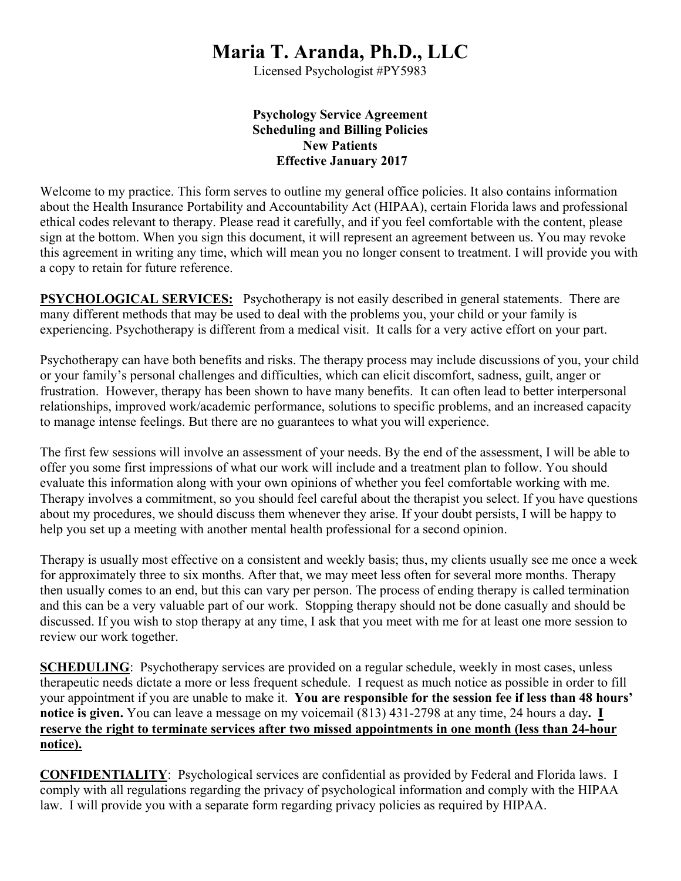# **Maria T. Aranda, Ph.D., LLC**

Licensed Psychologist #PY5983

#### **Psychology Service Agreement Scheduling and Billing Policies New Patients Effective January 2017**

Welcome to my practice. This form serves to outline my general office policies. It also contains information about the Health Insurance Portability and Accountability Act (HIPAA), certain Florida laws and professional ethical codes relevant to therapy. Please read it carefully, and if you feel comfortable with the content, please sign at the bottom. When you sign this document, it will represent an agreement between us. You may revoke this agreement in writing any time, which will mean you no longer consent to treatment. I will provide you with a copy to retain for future reference.

**PSYCHOLOGICAL SERVICES:** Psychotherapy is not easily described in general statements. There are many different methods that may be used to deal with the problems you, your child or your family is experiencing. Psychotherapy is different from a medical visit. It calls for a very active effort on your part.

Psychotherapy can have both benefits and risks. The therapy process may include discussions of you, your child or your family's personal challenges and difficulties, which can elicit discomfort, sadness, guilt, anger or frustration. However, therapy has been shown to have many benefits. It can often lead to better interpersonal relationships, improved work/academic performance, solutions to specific problems, and an increased capacity to manage intense feelings. But there are no guarantees to what you will experience.

The first few sessions will involve an assessment of your needs. By the end of the assessment, I will be able to offer you some first impressions of what our work will include and a treatment plan to follow. You should evaluate this information along with your own opinions of whether you feel comfortable working with me. Therapy involves a commitment, so you should feel careful about the therapist you select. If you have questions about my procedures, we should discuss them whenever they arise. If your doubt persists, I will be happy to help you set up a meeting with another mental health professional for a second opinion.

Therapy is usually most effective on a consistent and weekly basis; thus, my clients usually see me once a week for approximately three to six months. After that, we may meet less often for several more months. Therapy then usually comes to an end, but this can vary per person. The process of ending therapy is called termination and this can be a very valuable part of our work. Stopping therapy should not be done casually and should be discussed. If you wish to stop therapy at any time, I ask that you meet with me for at least one more session to review our work together.

**SCHEDULING**: Psychotherapy services are provided on a regular schedule, weekly in most cases, unless therapeutic needs dictate a more or less frequent schedule. I request as much notice as possible in order to fill your appointment if you are unable to make it. **You are responsible for the session fee if less than 48 hours' notice is given.** You can leave a message on my voicemail (813) 431-2798 at any time, 24 hours a day**. I reserve the right to terminate services after two missed appointments in one month (less than 24-hour notice).**

**CONFIDENTIALITY**: Psychological services are confidential as provided by Federal and Florida laws. I comply with all regulations regarding the privacy of psychological information and comply with the HIPAA law. I will provide you with a separate form regarding privacy policies as required by HIPAA.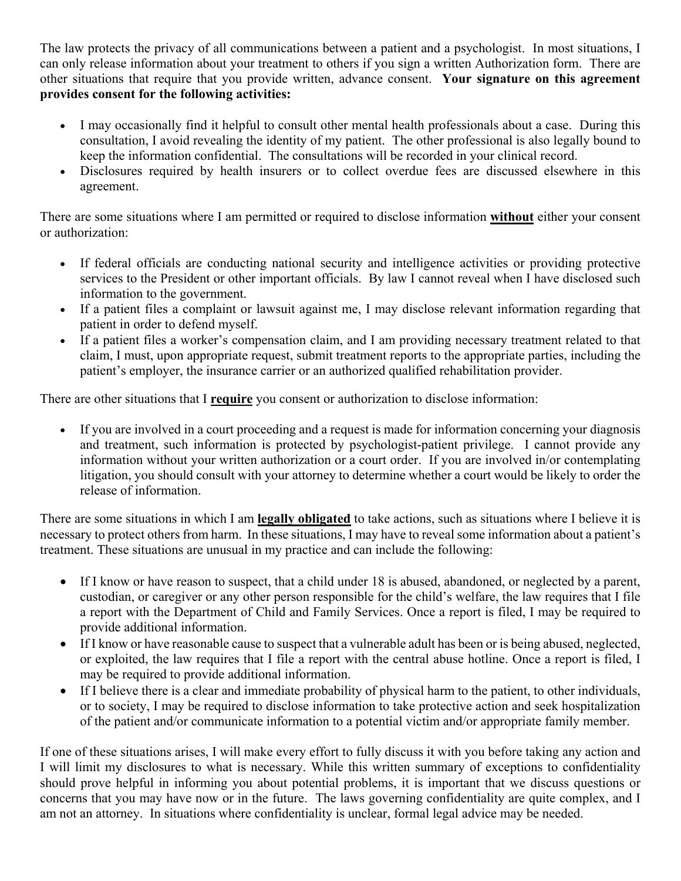The law protects the privacy of all communications between a patient and a psychologist. In most situations, I can only release information about your treatment to others if you sign a written Authorization form. There are other situations that require that you provide written, advance consent. **Your signature on this agreement provides consent for the following activities:** 

- I may occasionally find it helpful to consult other mental health professionals about a case. During this consultation, I avoid revealing the identity of my patient. The other professional is also legally bound to keep the information confidential. The consultations will be recorded in your clinical record.
- Disclosures required by health insurers or to collect overdue fees are discussed elsewhere in this agreement.

There are some situations where I am permitted or required to disclose information **without** either your consent or authorization:

- If federal officials are conducting national security and intelligence activities or providing protective services to the President or other important officials. By law I cannot reveal when I have disclosed such information to the government.
- If a patient files a complaint or lawsuit against me, I may disclose relevant information regarding that patient in order to defend myself.
- If a patient files a worker's compensation claim, and I am providing necessary treatment related to that claim, I must, upon appropriate request, submit treatment reports to the appropriate parties, including the patient's employer, the insurance carrier or an authorized qualified rehabilitation provider.

There are other situations that I **require** you consent or authorization to disclose information:

 If you are involved in a court proceeding and a request is made for information concerning your diagnosis and treatment, such information is protected by psychologist-patient privilege. I cannot provide any information without your written authorization or a court order. If you are involved in/or contemplating litigation, you should consult with your attorney to determine whether a court would be likely to order the release of information.

There are some situations in which I am **legally obligated** to take actions, such as situations where I believe it is necessary to protect others from harm. In these situations, I may have to reveal some information about a patient's treatment. These situations are unusual in my practice and can include the following:

- If I know or have reason to suspect, that a child under 18 is abused, abandoned, or neglected by a parent, custodian, or caregiver or any other person responsible for the child's welfare, the law requires that I file a report with the Department of Child and Family Services. Once a report is filed, I may be required to provide additional information.
- If I know or have reasonable cause to suspect that a vulnerable adult has been or is being abused, neglected, or exploited, the law requires that I file a report with the central abuse hotline. Once a report is filed, I may be required to provide additional information.
- If I believe there is a clear and immediate probability of physical harm to the patient, to other individuals, or to society, I may be required to disclose information to take protective action and seek hospitalization of the patient and/or communicate information to a potential victim and/or appropriate family member.

If one of these situations arises, I will make every effort to fully discuss it with you before taking any action and I will limit my disclosures to what is necessary. While this written summary of exceptions to confidentiality should prove helpful in informing you about potential problems, it is important that we discuss questions or concerns that you may have now or in the future. The laws governing confidentiality are quite complex, and I am not an attorney. In situations where confidentiality is unclear, formal legal advice may be needed.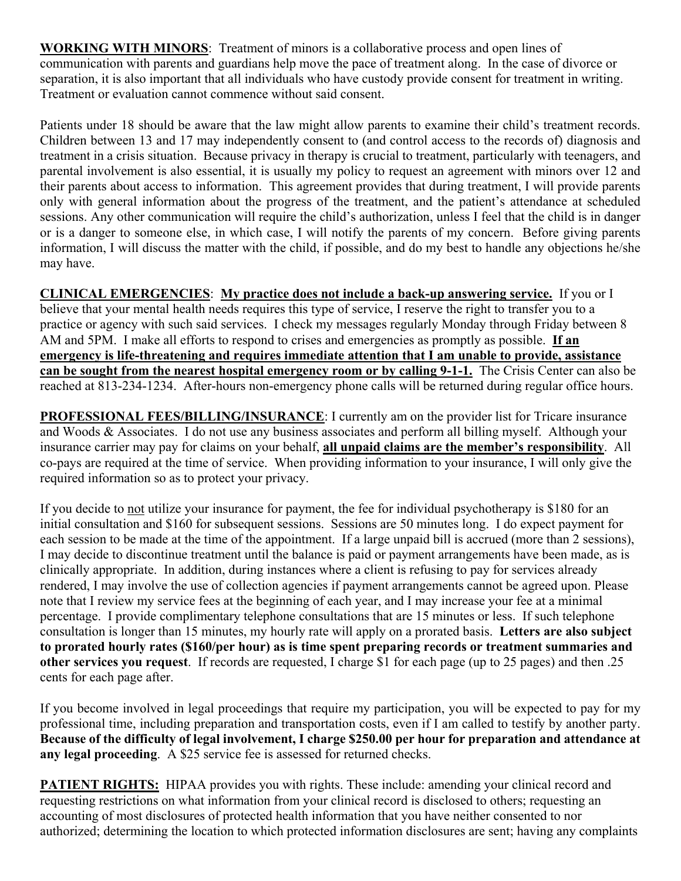**WORKING WITH MINORS**: Treatment of minors is a collaborative process and open lines of communication with parents and guardians help move the pace of treatment along. In the case of divorce or separation, it is also important that all individuals who have custody provide consent for treatment in writing. Treatment or evaluation cannot commence without said consent.

Patients under 18 should be aware that the law might allow parents to examine their child's treatment records. Children between 13 and 17 may independently consent to (and control access to the records of) diagnosis and treatment in a crisis situation. Because privacy in therapy is crucial to treatment, particularly with teenagers, and parental involvement is also essential, it is usually my policy to request an agreement with minors over 12 and their parents about access to information. This agreement provides that during treatment, I will provide parents only with general information about the progress of the treatment, and the patient's attendance at scheduled sessions. Any other communication will require the child's authorization, unless I feel that the child is in danger or is a danger to someone else, in which case, I will notify the parents of my concern. Before giving parents information, I will discuss the matter with the child, if possible, and do my best to handle any objections he/she may have.

**CLINICAL EMERGENCIES**: **My practice does not include a back-up answering service.** If you or I believe that your mental health needs requires this type of service, I reserve the right to transfer you to a practice or agency with such said services. I check my messages regularly Monday through Friday between 8 AM and 5PM. I make all efforts to respond to crises and emergencies as promptly as possible. **If an emergency is life-threatening and requires immediate attention that I am unable to provide, assistance can be sought from the nearest hospital emergency room or by calling 9-1-1.** The Crisis Center can also be reached at 813-234-1234. After-hours non-emergency phone calls will be returned during regular office hours.

**PROFESSIONAL FEES/BILLING/INSURANCE**: I currently am on the provider list for Tricare insurance and Woods & Associates. I do not use any business associates and perform all billing myself. Although your insurance carrier may pay for claims on your behalf, **all unpaid claims are the member's responsibility**. All co-pays are required at the time of service. When providing information to your insurance, I will only give the required information so as to protect your privacy.

If you decide to not utilize your insurance for payment, the fee for individual psychotherapy is \$180 for an initial consultation and \$160 for subsequent sessions. Sessions are 50 minutes long. I do expect payment for each session to be made at the time of the appointment. If a large unpaid bill is accrued (more than 2 sessions), I may decide to discontinue treatment until the balance is paid or payment arrangements have been made, as is clinically appropriate. In addition, during instances where a client is refusing to pay for services already rendered, I may involve the use of collection agencies if payment arrangements cannot be agreed upon. Please note that I review my service fees at the beginning of each year, and I may increase your fee at a minimal percentage. I provide complimentary telephone consultations that are 15 minutes or less. If such telephone consultation is longer than 15 minutes, my hourly rate will apply on a prorated basis. **Letters are also subject to prorated hourly rates (\$160/per hour) as is time spent preparing records or treatment summaries and other services you request**. If records are requested, I charge \$1 for each page (up to 25 pages) and then .25 cents for each page after.

If you become involved in legal proceedings that require my participation, you will be expected to pay for my professional time, including preparation and transportation costs, even if I am called to testify by another party. **Because of the difficulty of legal involvement, I charge \$250.00 per hour for preparation and attendance at any legal proceeding**. A \$25 service fee is assessed for returned checks.

**PATIENT RIGHTS:** HIPAA provides you with rights. These include: amending your clinical record and requesting restrictions on what information from your clinical record is disclosed to others; requesting an accounting of most disclosures of protected health information that you have neither consented to nor authorized; determining the location to which protected information disclosures are sent; having any complaints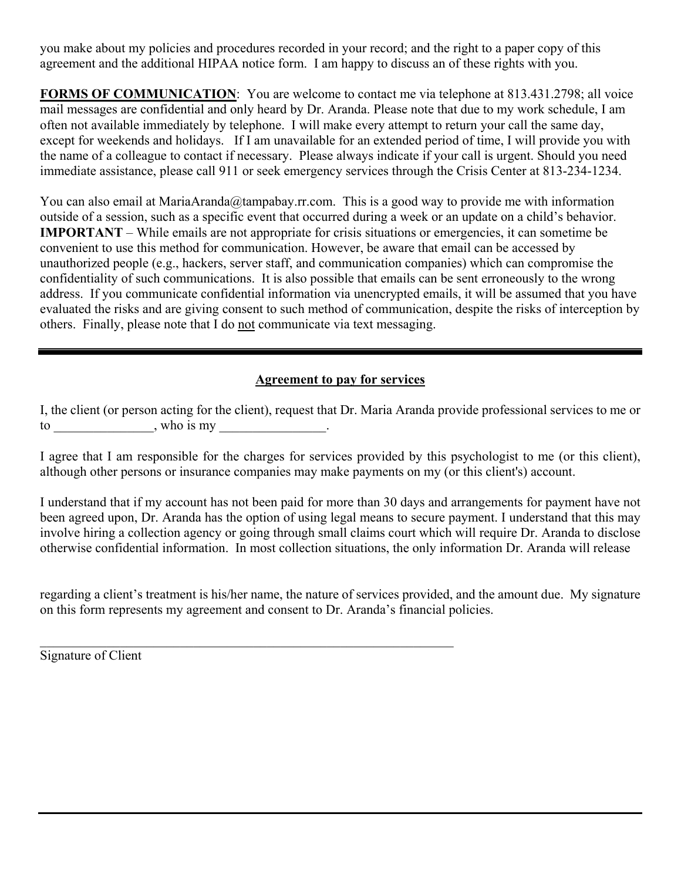you make about my policies and procedures recorded in your record; and the right to a paper copy of this agreement and the additional HIPAA notice form. I am happy to discuss an of these rights with you.

**FORMS OF COMMUNICATION**: You are welcome to contact me via telephone at 813.431.2798; all voice mail messages are confidential and only heard by Dr. Aranda. Please note that due to my work schedule, I am often not available immediately by telephone. I will make every attempt to return your call the same day, except for weekends and holidays. If I am unavailable for an extended period of time, I will provide you with the name of a colleague to contact if necessary. Please always indicate if your call is urgent. Should you need immediate assistance, please call 911 or seek emergency services through the Crisis Center at 813-234-1234.

You can also email at MariaAranda@tampabay.rr.com. This is a good way to provide me with information outside of a session, such as a specific event that occurred during a week or an update on a child's behavior. **IMPORTANT** – While emails are not appropriate for crisis situations or emergencies, it can sometime be convenient to use this method for communication. However, be aware that email can be accessed by unauthorized people (e.g., hackers, server staff, and communication companies) which can compromise the confidentiality of such communications. It is also possible that emails can be sent erroneously to the wrong address. If you communicate confidential information via unencrypted emails, it will be assumed that you have evaluated the risks and are giving consent to such method of communication, despite the risks of interception by others. Finally, please note that I do not communicate via text messaging.

## **Agreement to pay for services**

I, the client (or person acting for the client), request that Dr. Maria Aranda provide professional services to me or  $\begin{minipage}{0.5\textwidth} \centering \begin{tabular}{|c|c|c|} \hline \text{to} & \text{the image} & \text{the image} \\ \hline \text{to} & \text{the image} & \text{the image} \\ \hline \end{tabular} \end{minipage}$ 

I agree that I am responsible for the charges for services provided by this psychologist to me (or this client), although other persons or insurance companies may make payments on my (or this client's) account.

I understand that if my account has not been paid for more than 30 days and arrangements for payment have not been agreed upon, Dr. Aranda has the option of using legal means to secure payment. I understand that this may involve hiring a collection agency or going through small claims court which will require Dr. Aranda to disclose otherwise confidential information. In most collection situations, the only information Dr. Aranda will release

regarding a client's treatment is his/her name, the nature of services provided, and the amount due. My signature on this form represents my agreement and consent to Dr. Aranda's financial policies.

Signature of Client